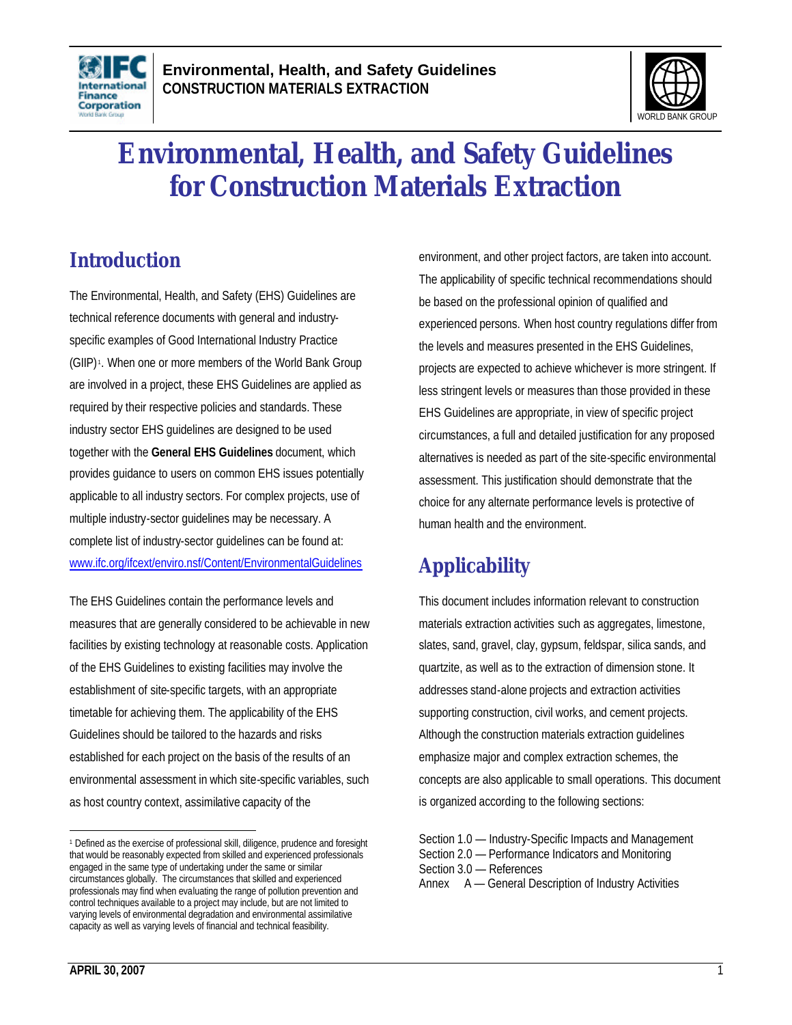



# **Environmental, Health, and Safety Guidelines for Construction Materials Extraction**

# **Introduction**

The Environmental, Health, and Safety (EHS) Guidelines are technical reference documents with general and industryspecific examples of Good International Industry Practice (GIIP) <sup>1</sup> . When one or more members of the World Bank Group are involved in a project, these EHS Guidelines are applied as required by their respective policies and standards. These industry sector EHS guidelines are designed to be used together with the **General EHS Guidelines** document, which provides guidance to users on common EHS issues potentially applicable to all industry sectors. For complex projects, use of multiple industry-sector guidelines may be necessary. A complete list of industry-sector guidelines can be found at: www.ifc.org/ifcext/enviro.nsf/Content/EnvironmentalGuidelines

The EHS Guidelines contain the performance levels and measures that are generally considered to be achievable in new facilities by existing technology at reasonable costs. Application of the EHS Guidelines to existing facilities may involve the establishment of site-specific targets, with an appropriate timetable for achieving them. The applicability of the EHS Guidelines should be tailored to the hazards and risks established for each project on the basis of the results of an environmental assessment in which site-specific variables, such as host country context, assimilative capacity of the

environment, and other project factors, are taken into account. The applicability of specific technical recommendations should be based on the professional opinion of qualified and experienced persons. When host country regulations differ from the levels and measures presented in the EHS Guidelines, projects are expected to achieve whichever is more stringent. If less stringent levels or measures than those provided in these EHS Guidelines are appropriate, in view of specific project circumstances, a full and detailed justification for any proposed alternatives is needed as part of the site-specific environmental assessment. This justification should demonstrate that the choice for any alternate performance levels is protective of human health and the environment.

# **Applicability**

This document includes information relevant to construction materials extraction activities such as aggregates, limestone, slates, sand, gravel, clay, gypsum, feldspar, silica sands, and quartzite, as well as to the extraction of dimension stone. It addresses stand-alone projects and extraction activities supporting construction, civil works, and cement projects. Although the construction materials extraction guidelines emphasize major and complex extraction schemes, the concepts are also applicable to small operations. This document is organized according to the following sections:

 $\overline{a}$ <sup>1</sup> Defined as the exercise of professional skill, diligence, prudence and foresight that would be reasonably expected from skilled and experienced professionals engaged in the same type of undertaking under the same or similar circumstances globally. The circumstances that skilled and experienced professionals may find when evaluating the range of pollution prevention and control techniques available to a project may include, but are not limited to varying levels of environmental degradation and environmental assimilative capacity as well as varying levels of financial and technical feasibility.

Section 1.0 — Industry-Specific Impacts and Management Section 2.0 — Performance Indicators and Monitoring Section 3.0 — References Annex A — General Description of Industry Activities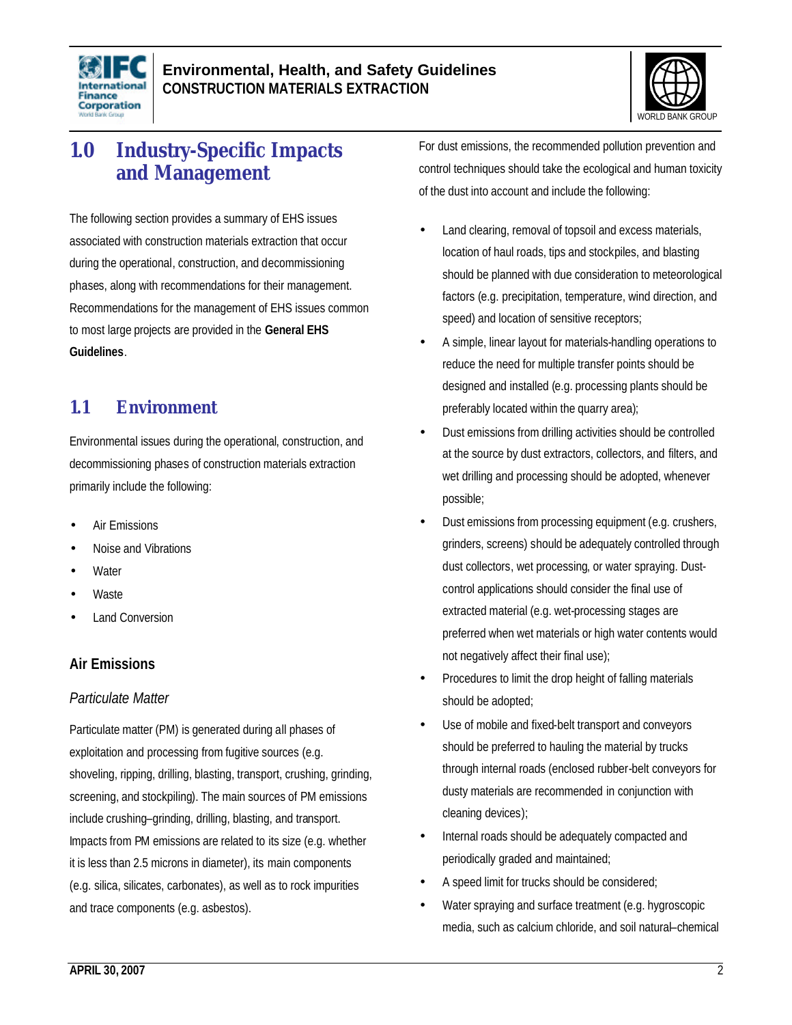



# **1.0 Industry-Specific Impacts and Management**

The following section provides a summary of EHS issues associated with construction materials extraction that occur during the operational, construction, and decommissioning phases, along with recommendations for their management. Recommendations for the management of EHS issues common to most large projects are provided in the **General EHS Guidelines**.

# **1.1 Environment**

Environmental issues during the operational, construction, and decommissioning phases of construction materials extraction primarily include the following:

- **Air Emissions**
- Noise and Vibrations
- **Water**
- Waste
- **Land Conversion**

#### **Air Emissions**

#### *Particulate Matter*

Particulate matter (PM) is generated during all phases of exploitation and processing from fugitive sources (e.g. shoveling, ripping, drilling, blasting, transport, crushing, grinding, screening, and stockpiling). The main sources of PM emissions include crushing–grinding, drilling, blasting, and transport. Impacts from PM emissions are related to its size (e.g. whether it is less than 2.5 microns in diameter), its main components (e.g. silica, silicates, carbonates), as well as to rock impurities and trace components (e.g. asbestos).

For dust emissions, the recommended pollution prevention and control techniques should take the ecological and human toxicity of the dust into account and include the following:

- Land clearing, removal of topsoil and excess materials, location of haul roads, tips and stockpiles, and blasting should be planned with due consideration to meteorological factors (e.g. precipitation, temperature, wind direction, and speed) and location of sensitive receptors;
- A simple, linear layout for materials-handling operations to reduce the need for multiple transfer points should be designed and installed (e.g. processing plants should be preferably located within the quarry area);
- Dust emissions from drilling activities should be controlled at the source by dust extractors, collectors, and filters, and wet drilling and processing should be adopted, whenever possible;
- Dust emissions from processing equipment (e.g. crushers, grinders, screens) should be adequately controlled through dust collectors, wet processing, or water spraying. Dustcontrol applications should consider the final use of extracted material (e.g. wet-processing stages are preferred when wet materials or high water contents would not negatively affect their final use);
- Procedures to limit the drop height of falling materials should be adopted;
- Use of mobile and fixed-belt transport and conveyors should be preferred to hauling the material by trucks through internal roads (enclosed rubber-belt conveyors for dusty materials are recommended in conjunction with cleaning devices);
- Internal roads should be adequately compacted and periodically graded and maintained;
- A speed limit for trucks should be considered;
- Water spraying and surface treatment (e.g. hygroscopic media, such as calcium chloride, and soil natural–chemical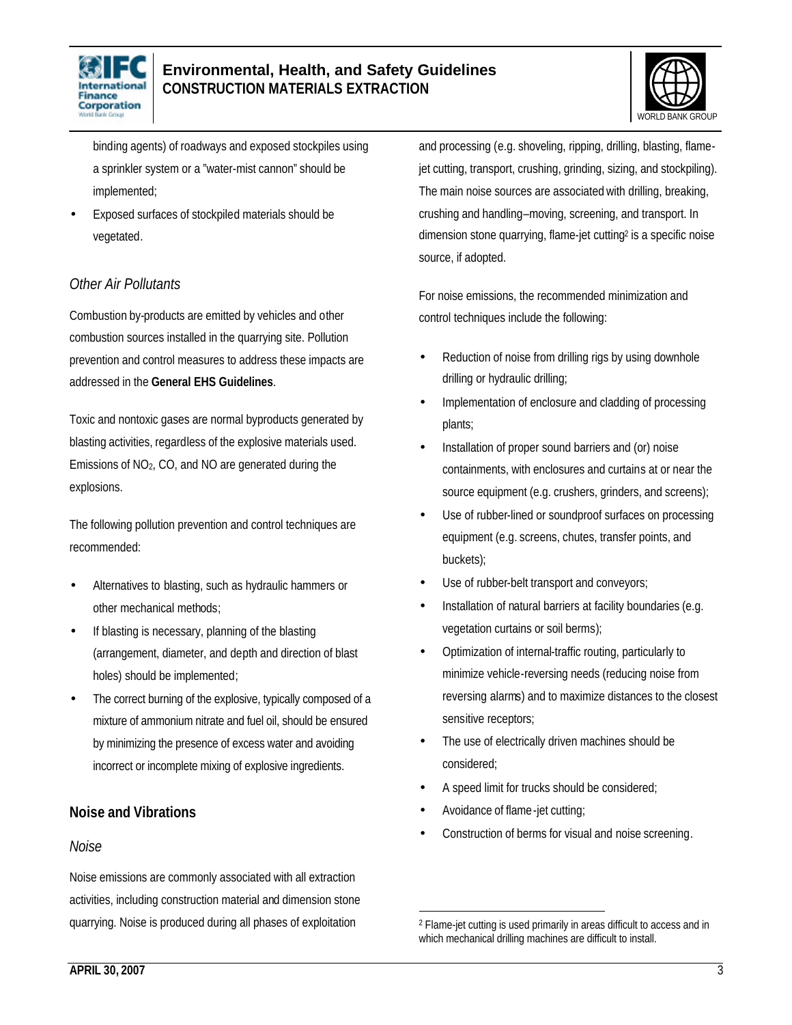



binding agents) of roadways and exposed stockpiles using a sprinkler system or a "water-mist cannon" should be implemented;

• Exposed surfaces of stockpiled materials should be vegetated.

#### *Other Air Pollutants*

Combustion by-products are emitted by vehicles and other combustion sources installed in the quarrying site. Pollution prevention and control measures to address these impacts are addressed in the **General EHS Guidelines**.

Toxic and nontoxic gases are normal byproducts generated by blasting activities, regardless of the explosive materials used. Emissions of  $NO<sub>2</sub>$ , CO, and NO are generated during the explosions.

The following pollution prevention and control techniques are recommended:

- Alternatives to blasting, such as hydraulic hammers or other mechanical methods;
- If blasting is necessary, planning of the blasting (arrangement, diameter, and depth and direction of blast holes) should be implemented;
- The correct burning of the explosive, typically composed of a mixture of ammonium nitrate and fuel oil, should be ensured by minimizing the presence of excess water and avoiding incorrect or incomplete mixing of explosive ingredients.

#### **Noise and Vibrations**

#### *Noise*

Noise emissions are commonly associated with all extraction activities, including construction material and dimension stone quarrying. Noise is produced during all phases of exploitation

and processing (e.g. shoveling, ripping, drilling, blasting, flamejet cutting, transport, crushing, grinding, sizing, and stockpiling). The main noise sources are associated with drilling, breaking, crushing and handling–moving, screening, and transport. In dimension stone quarrying, flame-jet cutting<sup>2</sup> is a specific noise source, if adopted.

For noise emissions, the recommended minimization and control techniques include the following:

- Reduction of noise from drilling rigs by using downhole drilling or hydraulic drilling;
- Implementation of enclosure and cladding of processing plants;
- Installation of proper sound barriers and (or) noise containments, with enclosures and curtains at or near the source equipment (e.g. crushers, grinders, and screens);
- Use of rubber-lined or soundproof surfaces on processing equipment (e.g. screens, chutes, transfer points, and buckets);
- Use of rubber-belt transport and conveyors;
- Installation of natural barriers at facility boundaries (e.g. vegetation curtains or soil berms);
- Optimization of internal-traffic routing, particularly to minimize vehicle-reversing needs (reducing noise from reversing alarms) and to maximize distances to the closest sensitive receptors;
- The use of electrically driven machines should be considered;
- A speed limit for trucks should be considered;
- Avoidance of flame-jet cutting;
- Construction of berms for visual and noise screening.

 $\overline{a}$ 2 Flame-jet cutting is used primarily in areas difficult to access and in which mechanical drilling machines are difficult to install.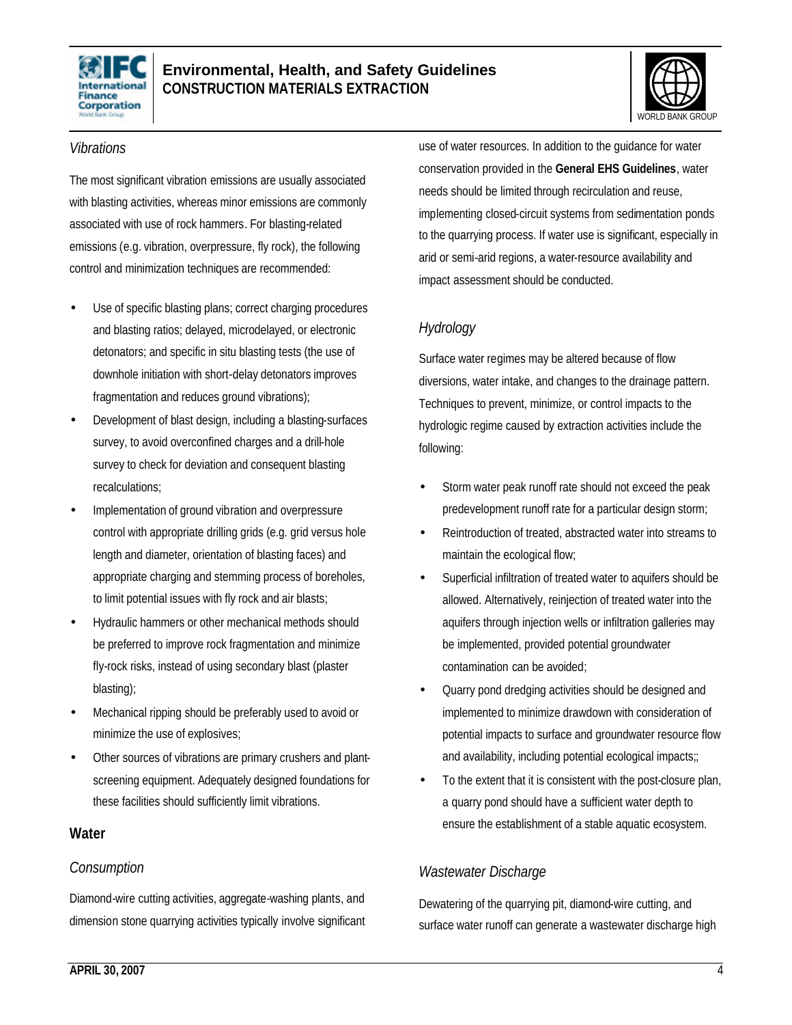



#### *Vibrations*

The most significant vibration emissions are usually associated with blasting activities, whereas minor emissions are commonly associated with use of rock hammers. For blasting-related emissions (e.g. vibration, overpressure, fly rock), the following control and minimization techniques are recommended:

- Use of specific blasting plans; correct charging procedures and blasting ratios; delayed, microdelayed, or electronic detonators; and specific in situ blasting tests (the use of downhole initiation with short-delay detonators improves fragmentation and reduces ground vibrations);
- Development of blast design, including a blasting-surfaces survey, to avoid overconfined charges and a drill-hole survey to check for deviation and consequent blasting recalculations;
- Implementation of ground vibration and overpressure control with appropriate drilling grids (e.g. grid versus hole length and diameter, orientation of blasting faces) and appropriate charging and stemming process of boreholes, to limit potential issues with fly rock and air blasts;
- Hydraulic hammers or other mechanical methods should be preferred to improve rock fragmentation and minimize fly-rock risks, instead of using secondary blast (plaster blasting);
- Mechanical ripping should be preferably used to avoid or minimize the use of explosives;
- Other sources of vibrations are primary crushers and plantscreening equipment. Adequately designed foundations for these facilities should sufficiently limit vibrations.

#### **Water**

#### *Consumption*

Diamond-wire cutting activities, aggregate-washing plants, and dimension stone quarrying activities typically involve significant use of water resources. In addition to the guidance for water conservation provided in the **General EHS Guidelines**, water needs should be limited through recirculation and reuse, implementing closed-circuit systems from sedimentation ponds to the quarrying process. If water use is significant, especially in arid or semi-arid regions, a water-resource availability and impact assessment should be conducted.

### *Hydrology*

Surface water regimes may be altered because of flow diversions, water intake, and changes to the drainage pattern. Techniques to prevent, minimize, or control impacts to the hydrologic regime caused by extraction activities include the following:

- Storm water peak runoff rate should not exceed the peak predevelopment runoff rate for a particular design storm;
- Reintroduction of treated, abstracted water into streams to maintain the ecological flow;
- Superficial infiltration of treated water to aquifers should be allowed. Alternatively, reinjection of treated water into the aquifers through injection wells or infiltration galleries may be implemented, provided potential groundwater contamination can be avoided;
- Quarry pond dredging activities should be designed and implemented to minimize drawdown with consideration of potential impacts to surface and groundwater resource flow and availability, including potential ecological impacts;;
- To the extent that it is consistent with the post-closure plan, a quarry pond should have a sufficient water depth to ensure the establishment of a stable aquatic ecosystem.

#### *Wastewater Discharge*

Dewatering of the quarrying pit, diamond-wire cutting, and surface water runoff can generate a wastewater discharge high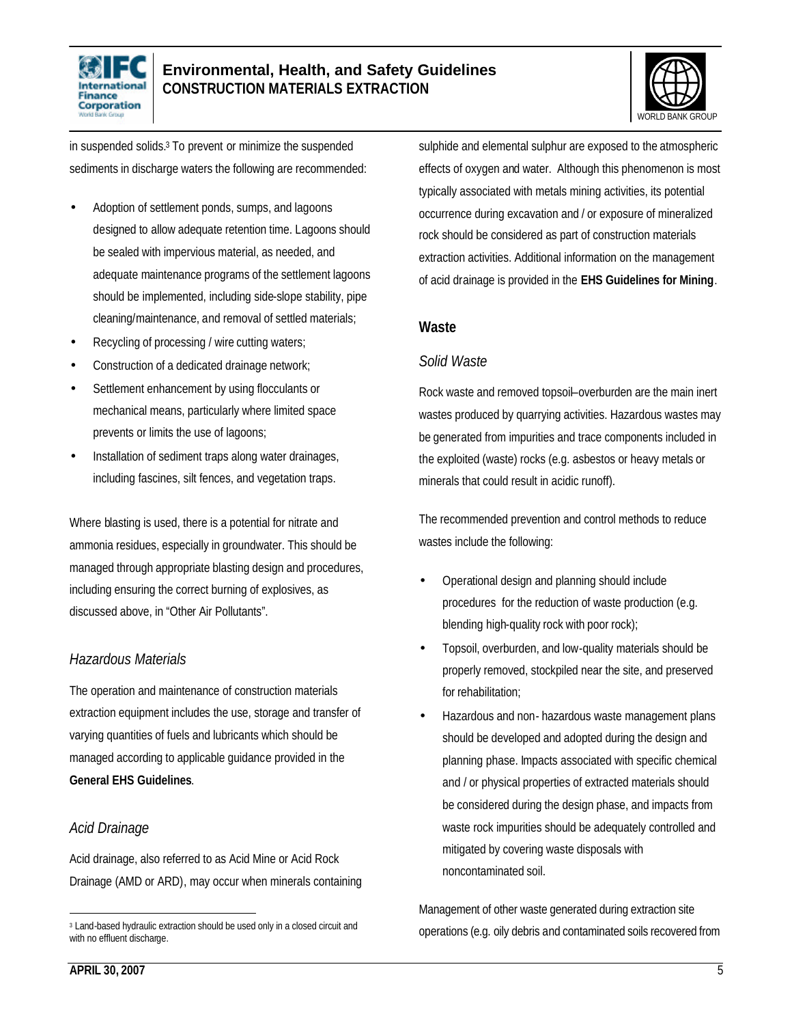



in suspended solids.<sup>3</sup> To prevent or minimize the suspended sediments in discharge waters the following are recommended:

- Adoption of settlement ponds, sumps, and lagoons designed to allow adequate retention time. Lagoons should be sealed with impervious material, as needed, and adequate maintenance programs of the settlement lagoons should be implemented, including side-slope stability, pipe cleaning/maintenance, and removal of settled materials;
- Recycling of processing / wire cutting waters;
- Construction of a dedicated drainage network;
- Settlement enhancement by using flocculants or mechanical means, particularly where limited space prevents or limits the use of lagoons;
- Installation of sediment traps along water drainages, including fascines, silt fences, and vegetation traps.

Where blasting is used, there is a potential for nitrate and ammonia residues, especially in groundwater. This should be managed through appropriate blasting design and procedures, including ensuring the correct burning of explosives, as discussed above, in "Other Air Pollutants".

#### *Hazardous Materials*

The operation and maintenance of construction materials extraction equipment includes the use, storage and transfer of varying quantities of fuels and lubricants which should be managed according to applicable guidance provided in the **General EHS Guidelines**.

#### *Acid Drainage*

Acid drainage, also referred to as Acid Mine or Acid Rock Drainage (AMD or ARD), may occur when minerals containing sulphide and elemental sulphur are exposed to the atmospheric effects of oxygen and water. Although this phenomenon is most typically associated with metals mining activities, its potential occurrence during excavation and / or exposure of mineralized rock should be considered as part of construction materials extraction activities. Additional information on the management of acid drainage is provided in the **EHS Guidelines for Mining**.

#### **Waste**

#### *Solid Waste*

Rock waste and removed topsoil–overburden are the main inert wastes produced by quarrying activities. Hazardous wastes may be generated from impurities and trace components included in the exploited (waste) rocks (e.g. asbestos or heavy metals or minerals that could result in acidic runoff).

The recommended prevention and control methods to reduce wastes include the following:

- Operational design and planning should include procedures for the reduction of waste production (e.g. blending high-quality rock with poor rock);
- Topsoil, overburden, and low-quality materials should be properly removed, stockpiled near the site, and preserved for rehabilitation;
- Hazardous and non- hazardous waste management plans should be developed and adopted during the design and planning phase. Impacts associated with specific chemical and / or physical properties of extracted materials should be considered during the design phase, and impacts from waste rock impurities should be adequately controlled and mitigated by covering waste disposals with noncontaminated soil.

Management of other waste generated during extraction site operations (e.g. oily debris and contaminated soils recovered from

 $\overline{a}$ 3 Land-based hydraulic extraction should be used only in a closed circuit and with no effluent discharge.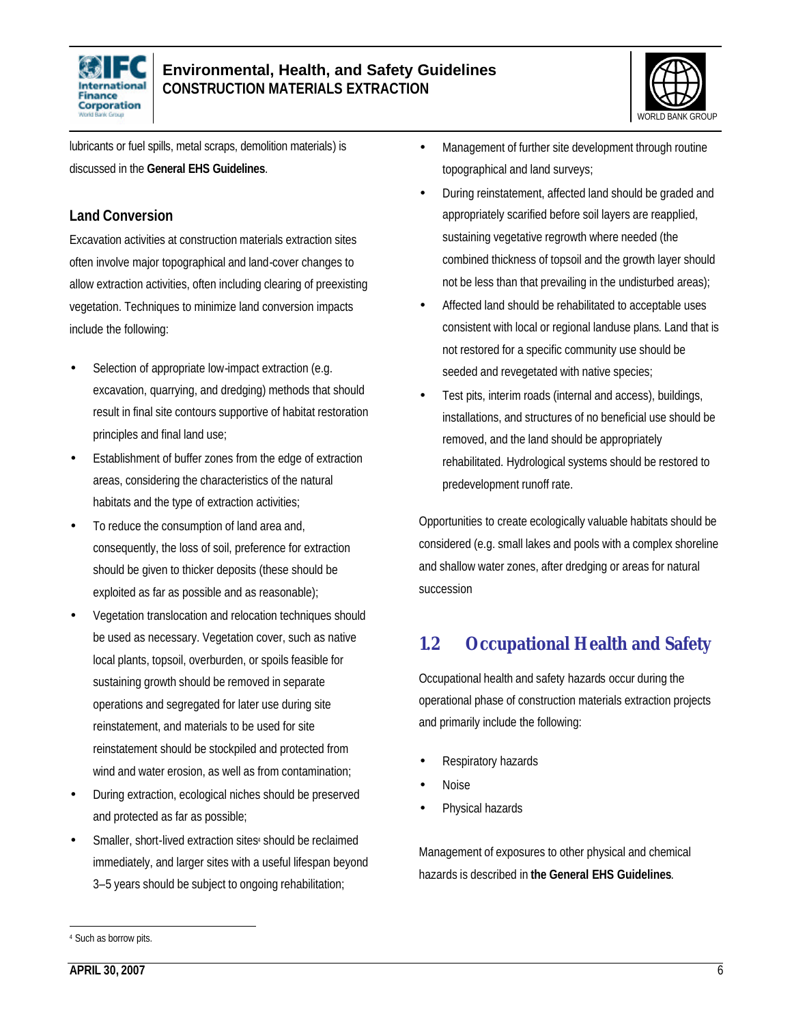



lubricants or fuel spills, metal scraps, demolition materials) is discussed in the **General EHS Guidelines**.

### **Land Conversion**

Excavation activities at construction materials extraction sites often involve major topographical and land-cover changes to allow extraction activities, often including clearing of preexisting vegetation. Techniques to minimize land conversion impacts include the following:

- Selection of appropriate low-impact extraction (e.g. excavation, quarrying, and dredging) methods that should result in final site contours supportive of habitat restoration principles and final land use;
- Establishment of buffer zones from the edge of extraction areas, considering the characteristics of the natural habitats and the type of extraction activities;
- To reduce the consumption of land area and, consequently, the loss of soil, preference for extraction should be given to thicker deposits (these should be exploited as far as possible and as reasonable);
- Vegetation translocation and relocation techniques should be used as necessary. Vegetation cover, such as native local plants, topsoil, overburden, or spoils feasible for sustaining growth should be removed in separate operations and segregated for later use during site reinstatement, and materials to be used for site reinstatement should be stockpiled and protected from wind and water erosion, as well as from contamination;
- During extraction, ecological niches should be preserved and protected as far as possible;
- Smaller, short-lived extraction sites<sup>4</sup> should be reclaimed immediately, and larger sites with a useful lifespan beyond 3–5 years should be subject to ongoing rehabilitation;
- Management of further site development through routine topographical and land surveys;
- During reinstatement, affected land should be graded and appropriately scarified before soil layers are reapplied, sustaining vegetative regrowth where needed (the combined thickness of topsoil and the growth layer should not be less than that prevailing in the undisturbed areas);
- Affected land should be rehabilitated to acceptable uses consistent with local or regional landuse plans. Land that is not restored for a specific community use should be seeded and revegetated with native species;
- Test pits, interim roads (internal and access), buildings, installations, and structures of no beneficial use should be removed, and the land should be appropriately rehabilitated. Hydrological systems should be restored to predevelopment runoff rate.

Opportunities to create ecologically valuable habitats should be considered (e.g. small lakes and pools with a complex shoreline and shallow water zones, after dredging or areas for natural succession

# **1.2 Occupational Health and Safety**

Occupational health and safety hazards occur during the operational phase of construction materials extraction projects and primarily include the following:

- Respiratory hazards
- Noise
- Physical hazards

Management of exposures to other physical and chemical hazards is described in **the General EHS Guidelines**.

 $\overline{a}$ 

<sup>4</sup> Such as borrow pits.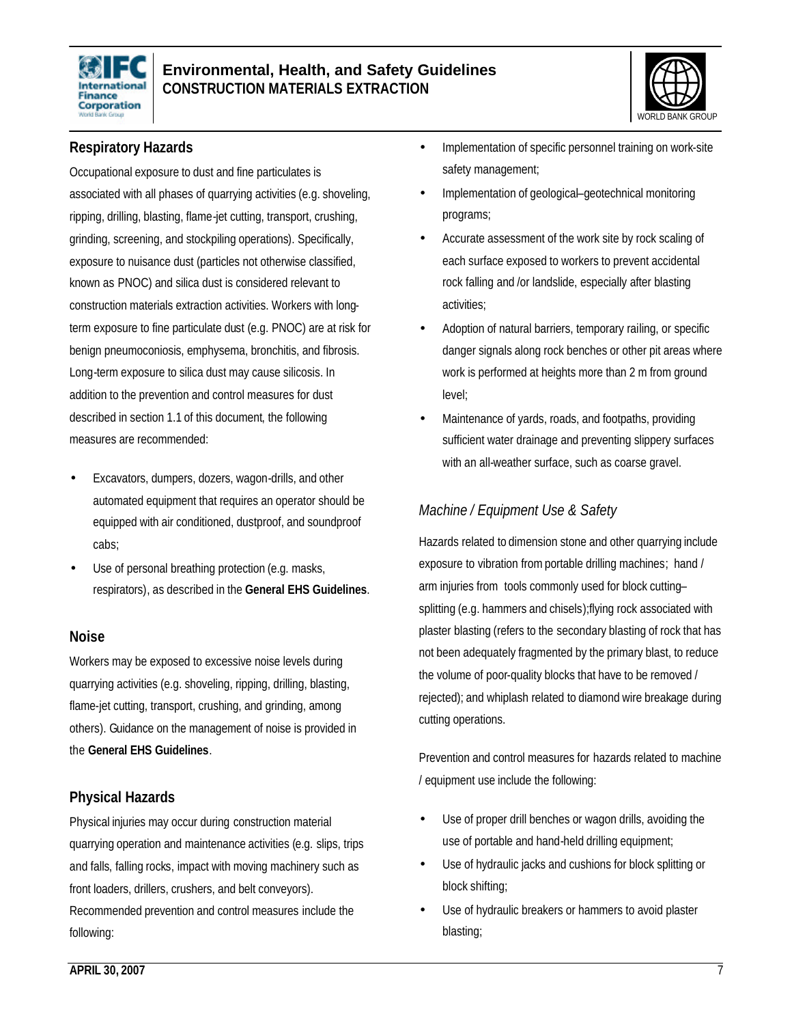



#### **Respiratory Hazards**

Occupational exposure to dust and fine particulates is associated with all phases of quarrying activities (e.g. shoveling, ripping, drilling, blasting, flame-jet cutting, transport, crushing, grinding, screening, and stockpiling operations). Specifically, exposure to nuisance dust (particles not otherwise classified, known as PNOC) and silica dust is considered relevant to construction materials extraction activities. Workers with longterm exposure to fine particulate dust (e.g. PNOC) are at risk for benign pneumoconiosis, emphysema, bronchitis, and fibrosis. Long-term exposure to silica dust may cause silicosis. In addition to the prevention and control measures for dust described in section 1.1 of this document, the following measures are recommended:

- Excavators, dumpers, dozers, wagon-drills, and other automated equipment that requires an operator should be equipped with air conditioned, dustproof, and soundproof cabs;
- Use of personal breathing protection (e.g. masks, respirators), as described in the **General EHS Guidelines**.

#### **Noise**

Workers may be exposed to excessive noise levels during quarrying activities (e.g. shoveling, ripping, drilling, blasting, flame-jet cutting, transport, crushing, and grinding, among others). Guidance on the management of noise is provided in the **General EHS Guidelines**.

#### **Physical Hazards**

Physical injuries may occur during construction material quarrying operation and maintenance activities (e.g. slips, trips and falls, falling rocks, impact with moving machinery such as front loaders, drillers, crushers, and belt conveyors). Recommended prevention and control measures include the

- Implementation of specific personnel training on work-site safety management;
- Implementation of geological–geotechnical monitoring programs;
- Accurate assessment of the work site by rock scaling of each surface exposed to workers to prevent accidental rock falling and /or landslide, especially after blasting activities;
- Adoption of natural barriers, temporary railing, or specific danger signals along rock benches or other pit areas where work is performed at heights more than 2 m from ground level;
- Maintenance of yards, roads, and footpaths, providing sufficient water drainage and preventing slippery surfaces with an all-weather surface, such as coarse gravel.

### *Machine / Equipment Use & Safety*

Hazards related to dimension stone and other quarrying include exposure to vibration from portable drilling machines; hand / arm injuries from tools commonly used for block cutting– splitting (e.g. hammers and chisels);flying rock associated with plaster blasting (refers to the secondary blasting of rock that has not been adequately fragmented by the primary blast, to reduce the volume of poor-quality blocks that have to be removed / rejected); and whiplash related to diamond wire breakage during cutting operations.

Prevention and control measures for hazards related to machine / equipment use include the following:

- Use of proper drill benches or wagon drills, avoiding the use of portable and hand-held drilling equipment;
- Use of hydraulic jacks and cushions for block splitting or block shifting;
- Use of hydraulic breakers or hammers to avoid plaster blasting;

following: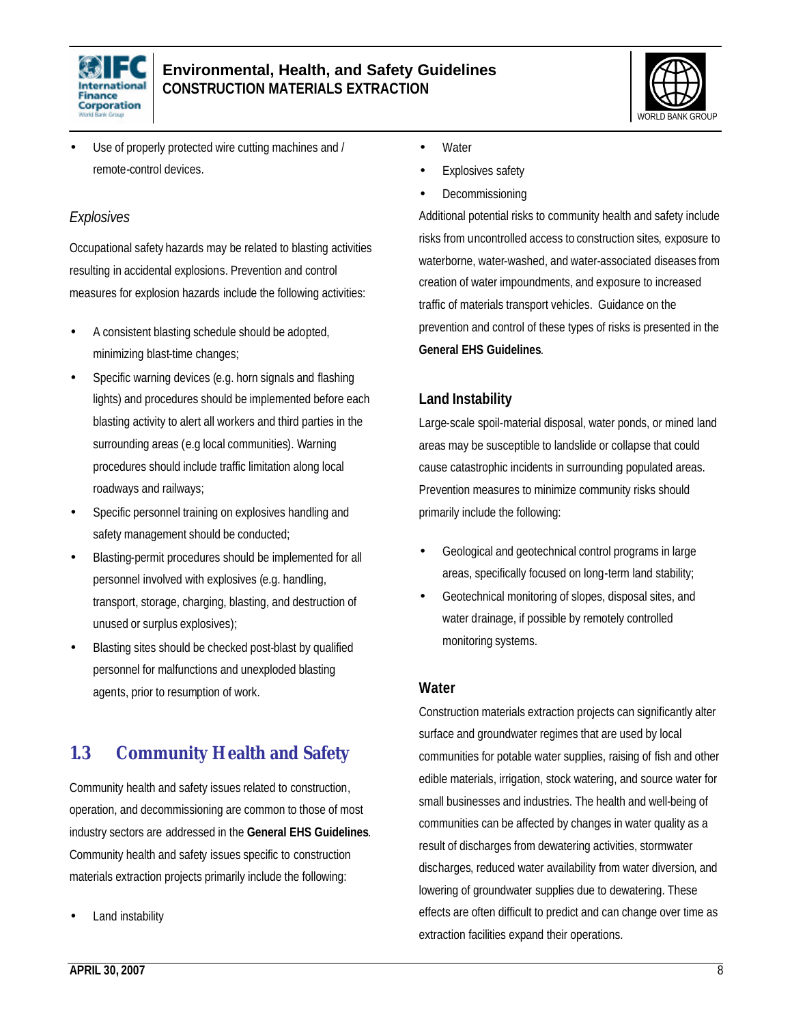



Use of properly protected wire cutting machines and / remote-control devices.

### *Explosives*

Occupational safety hazards may be related to blasting activities resulting in accidental explosions. Prevention and control measures for explosion hazards include the following activities:

- A consistent blasting schedule should be adopted, minimizing blast-time changes;
- Specific warning devices (e.g. horn signals and flashing lights) and procedures should be implemented before each blasting activity to alert all workers and third parties in the surrounding areas (e.g local communities). Warning procedures should include traffic limitation along local roadways and railways;
- Specific personnel training on explosives handling and safety management should be conducted;
- Blasting-permit procedures should be implemented for all personnel involved with explosives (e.g. handling, transport, storage, charging, blasting, and destruction of unused or surplus explosives);
- Blasting sites should be checked post-blast by qualified personnel for malfunctions and unexploded blasting agents, prior to resumption of work.

# **1.3 Community Health and Safety**

Community health and safety issues related to construction, operation, and decommissioning are common to those of most industry sectors are addressed in the **General EHS Guidelines**. Community health and safety issues specific to construction materials extraction projects primarily include the following:

• Land instability

- **Water**
- Explosives safety
- **Decommissioning**

Additional potential risks to community health and safety include risks from uncontrolled access to construction sites, exposure to waterborne, water-washed, and water-associated diseases from creation of water impoundments, and exposure to increased traffic of materials transport vehicles. Guidance on the prevention and control of these types of risks is presented in the **General EHS Guidelines**.

# **Land Instability**

Large-scale spoil-material disposal, water ponds, or mined land areas may be susceptible to landslide or collapse that could cause catastrophic incidents in surrounding populated areas. Prevention measures to minimize community risks should primarily include the following:

- Geological and geotechnical control programs in large areas, specifically focused on long-term land stability;
- Geotechnical monitoring of slopes, disposal sites, and water drainage, if possible by remotely controlled monitoring systems.

#### **Water**

Construction materials extraction projects can significantly alter surface and groundwater regimes that are used by local communities for potable water supplies, raising of fish and other edible materials, irrigation, stock watering, and source water for small businesses and industries. The health and well-being of communities can be affected by changes in water quality as a result of discharges from dewatering activities, stormwater discharges, reduced water availability from water diversion, and lowering of groundwater supplies due to dewatering. These effects are often difficult to predict and can change over time as extraction facilities expand their operations.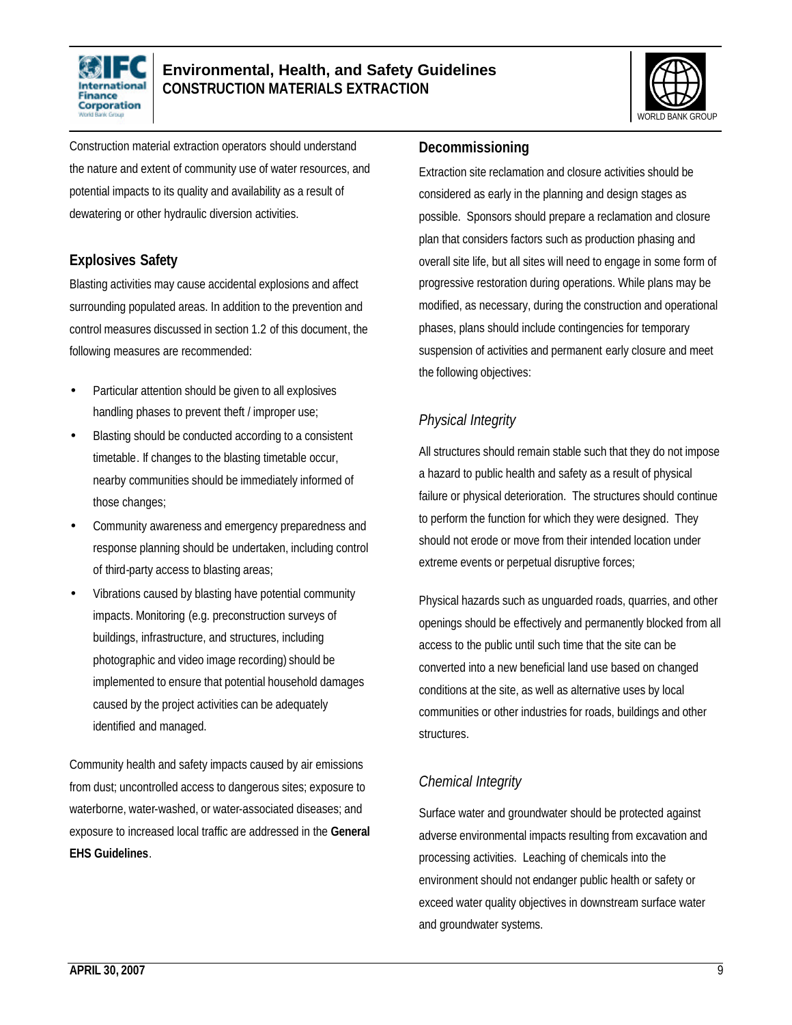



Construction material extraction operators should understand the nature and extent of community use of water resources, and potential impacts to its quality and availability as a result of dewatering or other hydraulic diversion activities.

# **Explosives Safety**

Blasting activities may cause accidental explosions and affect surrounding populated areas. In addition to the prevention and control measures discussed in section 1.2 of this document, the following measures are recommended:

- Particular attention should be given to all explosives handling phases to prevent theft / improper use;
- Blasting should be conducted according to a consistent timetable. If changes to the blasting timetable occur, nearby communities should be immediately informed of those changes;
- Community awareness and emergency preparedness and response planning should be undertaken, including control of third-party access to blasting areas;
- Vibrations caused by blasting have potential community impacts. Monitoring (e.g. preconstruction surveys of buildings, infrastructure, and structures, including photographic and video image recording) should be implemented to ensure that potential household damages caused by the project activities can be adequately identified and managed.

Community health and safety impacts caused by air emissions from dust; uncontrolled access to dangerous sites; exposure to waterborne, water-washed, or water-associated diseases; and exposure to increased local traffic are addressed in the **General EHS Guidelines**.

#### **Decommissioning**

Extraction site reclamation and closure activities should be considered as early in the planning and design stages as possible. Sponsors should prepare a reclamation and closure plan that considers factors such as production phasing and overall site life, but all sites will need to engage in some form of progressive restoration during operations. While plans may be modified, as necessary, during the construction and operational phases, plans should include contingencies for temporary suspension of activities and permanent early closure and meet the following objectives:

# *Physical Integrity*

All structures should remain stable such that they do not impose a hazard to public health and safety as a result of physical failure or physical deterioration. The structures should continue to perform the function for which they were designed. They should not erode or move from their intended location under extreme events or perpetual disruptive forces;

Physical hazards such as unguarded roads, quarries, and other openings should be effectively and permanently blocked from all access to the public until such time that the site can be converted into a new beneficial land use based on changed conditions at the site, as well as alternative uses by local communities or other industries for roads, buildings and other structures.

# *Chemical Integrity*

Surface water and groundwater should be protected against adverse environmental impacts resulting from excavation and processing activities. Leaching of chemicals into the environment should not endanger public health or safety or exceed water quality objectives in downstream surface water and groundwater systems.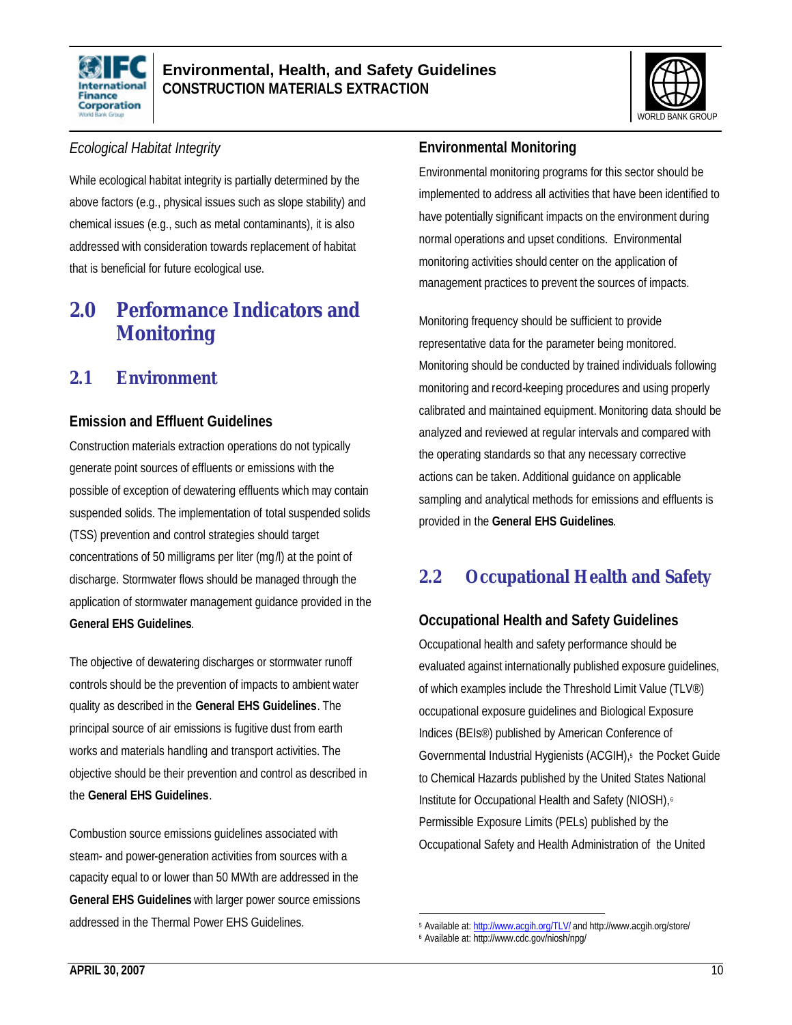



### *Ecological Habitat Integrity*

While ecological habitat integrity is partially determined by the above factors (e.g., physical issues such as slope stability) and chemical issues (e.g., such as metal contaminants), it is also addressed with consideration towards replacement of habitat that is beneficial for future ecological use.

# **2.0 Performance Indicators and Monitoring**

# **2.1 Environment**

#### **Emission and Effluent Guidelines**

Construction materials extraction operations do not typically generate point sources of effluents or emissions with the possible of exception of dewatering effluents which may contain suspended solids. The implementation of total suspended solids (TSS) prevention and control strategies should target concentrations of 50 milligrams per liter (mg/l) at the point of discharge. Stormwater flows should be managed through the application of stormwater management guidance provided in the **General EHS Guidelines**.

The objective of dewatering discharges or stormwater runoff controls should be the prevention of impacts to ambient water quality as described in the **General EHS Guidelines**. The principal source of air emissions is fugitive dust from earth works and materials handling and transport activities. The objective should be their prevention and control as described in the **General EHS Guidelines**.

Combustion source emissions guidelines associated with steam- and power-generation activities from sources with a capacity equal to or lower than 50 MWth are addressed in the **General EHS Guidelines** with larger power source emissions addressed in the Thermal Power EHS Guidelines.

#### **Environmental Monitoring**

Environmental monitoring programs for this sector should be implemented to address all activities that have been identified to have potentially significant impacts on the environment during normal operations and upset conditions. Environmental monitoring activities should center on the application of management practices to prevent the sources of impacts.

Monitoring frequency should be sufficient to provide representative data for the parameter being monitored. Monitoring should be conducted by trained individuals following monitoring and record-keeping procedures and using properly calibrated and maintained equipment. Monitoring data should be analyzed and reviewed at regular intervals and compared with the operating standards so that any necessary corrective actions can be taken. Additional guidance on applicable sampling and analytical methods for emissions and effluents is provided in the **General EHS Guidelines**.

# **2.2 Occupational Health and Safety**

#### **Occupational Health and Safety Guidelines**

Occupational health and safety performance should be evaluated against internationally published exposure guidelines, of which examples include the Threshold Limit Value (TLV®) occupational exposure guidelines and Biological Exposure Indices (BEIs®) published by American Conference of Governmental Industrial Hygienists (ACGIH),<sup>5</sup> the Pocket Guide to Chemical Hazards published by the United States National Institute for Occupational Health and Safety (NIOSH),<sup>6</sup> Permissible Exposure Limits (PELs) published by the Occupational Safety and Health Administration of the United

 $\overline{a}$ 5 Available at: http://www.acqih.org/TLV/ and http://www.acgih.org/store/

<sup>6</sup> Available at: http://www.cdc.gov/niosh/npg/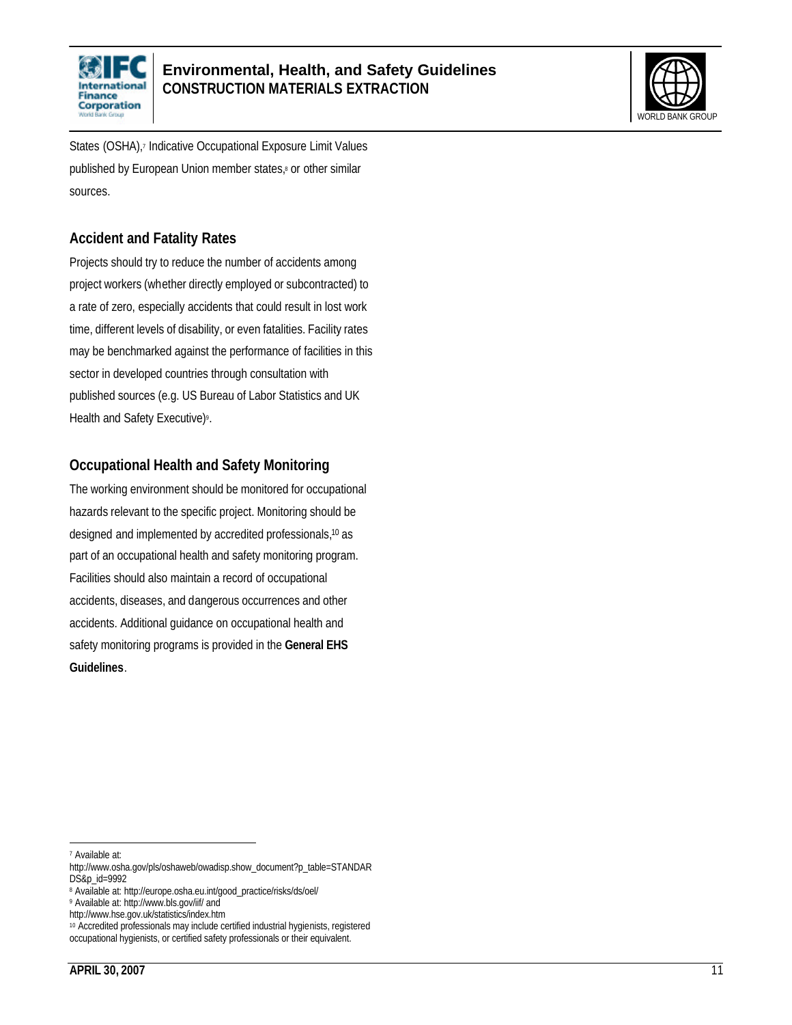



States (OSHA),7 Indicative Occupational Exposure Limit Values published by European Union member states,<sup>8</sup> or other similar sources.

# **Accident and Fatality Rates**

Projects should try to reduce the number of accidents among project workers (whether directly employed or subcontracted) to a rate of zero, especially accidents that could result in lost work time, different levels of disability, or even fatalities. Facility rates may be benchmarked against the performance of facilities in this sector in developed countries through consultation with published sources (e.g. US Bureau of Labor Statistics and UK Health and Safety Executive)<sup>9</sup>.

# **Occupational Health and Safety Monitoring**

The working environment should be monitored for occupational hazards relevant to the specific project. Monitoring should be designed and implemented by accredited professionals,10 as part of an occupational health and safety monitoring program. Facilities should also maintain a record of occupational accidents, diseases, and dangerous occurrences and other accidents. Additional guidance on occupational health and safety monitoring programs is provided in the **General EHS Guidelines**.

 $\overline{a}$ <sup>7</sup> Available at:

http://www.osha.gov/pls/oshaweb/owadisp.show\_document?p\_table=STANDAR DS&p\_id=9992

<sup>8</sup> Available at: http://europe.osha.eu.int/good\_practice/risks/ds/oel/

<sup>9</sup> Available at: http://www.bls.gov/iif/ and

http://www.hse.gov.uk/statistics/index.htm

<sup>10</sup> Accredited professionals may include certified industrial hygienists, registered

occupational hygienists, or certified safety professionals or their equivalent.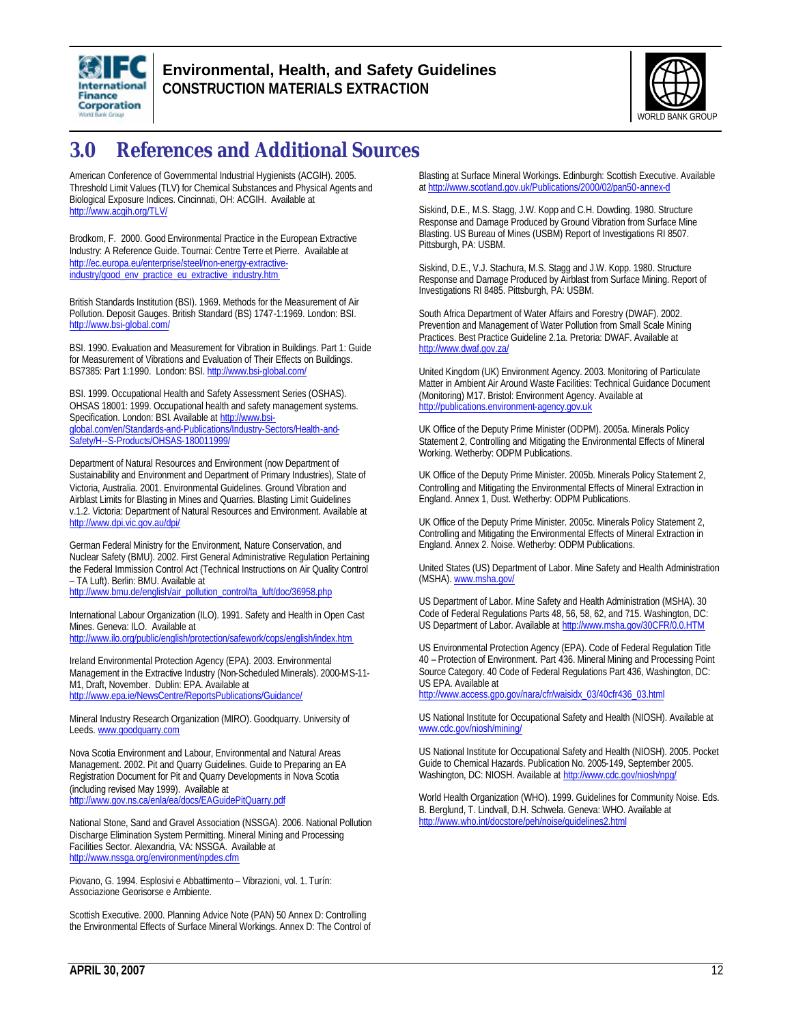



# **3.0 References and Additional Sources**

American Conference of Governmental Industrial Hygienists (ACGIH). 2005. Threshold Limit Values (TLV) for Chemical Substances and Physical Agents and Biological Exposure Indices. Cincinnati, OH: ACGIH. Available at http://www.acgih.org/TLV/

Brodkom, F. 2000. Good Environmental Practice in the European Extractive Industry: A Reference Guide. Tournai: Centre Terre et Pierre. Available at http://ec.europa.eu/enterprise/steel/non-energy-extractiveindustry/good\_env\_practice\_eu\_extractive\_industry.htm

British Standards Institution (BSI). 1969. Methods for the Measurement of Air Pollution. Deposit Gauges. British Standard (BS) 1747-1:1969. London: BSI. http://www.bsi-global.com/

BSI. 1990. Evaluation and Measurement for Vibration in Buildings. Part 1: Guide for Measurement of Vibrations and Evaluation of Their Effects on Buildings. BS7385: Part 1:1990. London: BSI. http://www.bsi-qlobal.com/

BSI. 1999. Occupational Health and Safety Assessment Series (OSHAS). OHSAS 18001: 1999. Occupational health and safety management systems. Specification. London: BSI. Available at http://www.bsiglobal.com/en/Standards-and-Publications/Industry-Sectors/Health-and-Safety/H--S-Products/OHSAS-180011999/

Department of Natural Resources and Environment (now Department of Sustainability and Environment and Department of Primary Industries), State of Victoria, Australia. 2001. Environmental Guidelines. Ground Vibration and Airblast Limits for Blasting in Mines and Quarries. Blasting Limit Guidelines v.1.2. Victoria: Department of Natural Resources and Environment. Available at http://www.dpi.vic.gov.au/dpi/

German Federal Ministry for the Environment, Nature Conservation, and Nuclear Safety (BMU). 2002. First General Administrative Regulation Pertaining the Federal Immission Control Act (Technical Instructions on Air Quality Control – TA Luft). Berlin: BMU. Available at

http://www.bmu.de/english/air\_pollution\_control/ta\_luft/doc/36958.php

International Labour Organization (ILO). 1991. Safety and Health in Open Cast Mines. Geneva: ILO. Available at http://www.ilo.org/public/english/protection/safework/cops/english/index.htm

Ireland Environmental Protection Agency (EPA). 2003. Environmental Management in the Extractive Industry (Non-Scheduled Minerals). 2000-MS-11- M1, Draft, November. Dublin: EPA. Available at http://www.epa.ie/NewsCentre/ReportsPublications/Guidance/

Mineral Industry Research Organization (MIRO). Goodquarry. University of Leeds. www.goodquarry.com

Nova Scotia Environment and Labour, Environmental and Natural Areas Management. 2002. Pit and Quarry Guidelines. Guide to Preparing an EA Registration Document for Pit and Quarry Developments in Nova Scotia (including revised May 1999). Available at http://www.gov.ns.ca/enla/ea/docs/EAGuidePitQuarry.pdf

National Stone, Sand and Gravel Association (NSSGA). 2006. National Pollution Discharge Elimination System Permitting. Mineral Mining and Processing Facilities Sector. Alexandria, VA: NSSGA. Available at http://www.nssga.org/environment/npdes.cfm

Piovano, G. 1994. Esplosivi e Abbattimento – Vibrazioni, vol. 1. Turín: Associazione Georisorse e Ambiente.

Scottish Executive. 2000. Planning Advice Note (PAN) 50 Annex D: Controlling the Environmental Effects of Surface Mineral Workings. Annex D: The Control of Blasting at Surface Mineral Workings. Edinburgh: Scottish Executive. Available at http://www.scotland.gov.uk/Publications/2000/02/pan50-annex-d

Siskind, D.E., M.S. Stagg, J.W. Kopp and C.H. Dowding. 1980. Structure Response and Damage Produced by Ground Vibration from Surface Mine Blasting. US Bureau of Mines (USBM) Report of Investigations RI 8507. Pittsburgh, PA: USBM.

Siskind, D.E., V.J. Stachura, M.S. Stagg and J.W. Kopp. 1980. Structure Response and Damage Produced by Airblast from Surface Mining. Report of Investigations RI 8485. Pittsburgh, PA: USBM.

South Africa Department of Water Affairs and Forestry (DWAF). 2002. Prevention and Management of Water Pollution from Small Scale Mining Practices. Best Practice Guideline 2.1a. Pretoria: DWAF. Available at http://www.dwaf.gov.za/

United Kingdom (UK) Environment Agency. 2003. Monitoring of Particulate Matter in Ambient Air Around Waste Facilities: Technical Guidance Document (Monitoring) M17. Bristol: Environment Agency. Available at http://publications.environment-agency.gov.uk

UK Office of the Deputy Prime Minister (ODPM). 2005a. Minerals Policy Statement 2, Controlling and Mitigating the Environmental Effects of Mineral Working. Wetherby: ODPM Publications.

UK Office of the Deputy Prime Minister. 2005b. Minerals Policy Statement 2, Controlling and Mitigating the Environmental Effects of Mineral Extraction in England. Annex 1, Dust. Wetherby: ODPM Publications.

UK Office of the Deputy Prime Minister. 2005c. Minerals Policy Statement 2, Controlling and Mitigating the Environmental Effects of Mineral Extraction in England. Annex 2. Noise. Wetherby: ODPM Publications.

United States (US) Department of Labor. Mine Safety and Health Administration (MSHA). www.msha.gov/

US Department of Labor. Mine Safety and Health Administration (MSHA). 30 Code of Federal Regulations Parts 48, 56, 58, 62, and 715. Washington, DC: US Department of Labor. Available at http://www.msha.gov/30CFR/0.0.HTM

US Environmental Protection Agency (EPA). Code of Federal Regulation Title 40 – Protection of Environment. Part 436. Mineral Mining and Processing Point Source Category. 40 Code of Federal Regulations Part 436, Washington, DC: US EPA. Available at

http://www.access.gpo.gov/nara/cfr/waisidx\_03/40cfr436\_03.html

US National Institute for Occupational Safety and Health (NIOSH). Available at www.cdc.gov/niosh/mining/

US National Institute for Occupational Safety and Health (NIOSH). 2005. Pocket Guide to Chemical Hazards. Publication No. 2005-149, September 2005. Washington, DC: NIOSH. Available at http://www.cdc.gov/niosh/npg/

World Health Organization (WHO). 1999. Guidelines for Community Noise. Eds. B. Berglund, T. Lindvall, D.H. Schwela. Geneva: WHO. Available at http://www.who.int/docstore/peh/noise/guidelines2.html